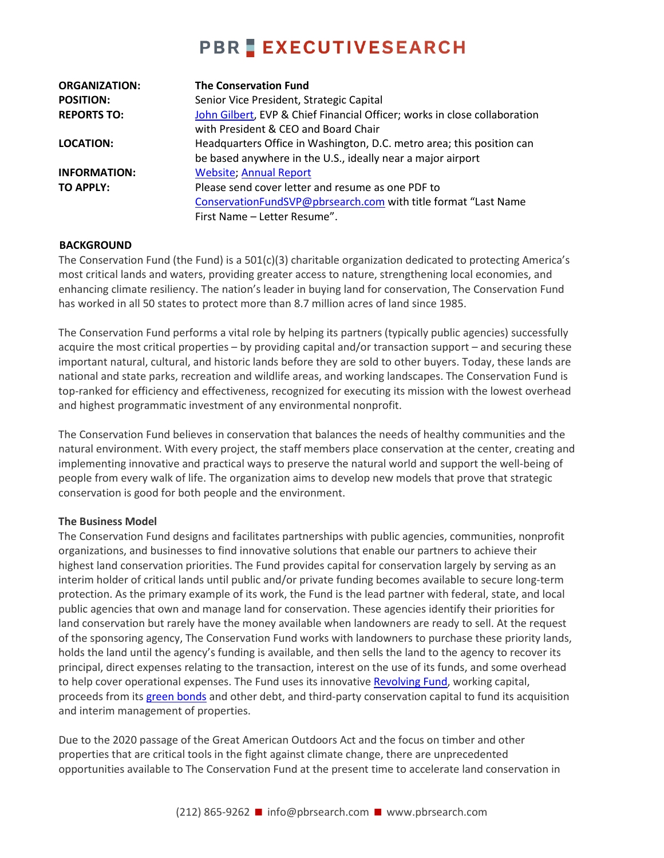## **PBR EXECUTIVESEARCH**

| <b>ORGANIZATION:</b> | <b>The Conservation Fund</b>                                              |
|----------------------|---------------------------------------------------------------------------|
| <b>POSITION:</b>     | Senior Vice President, Strategic Capital                                  |
| <b>REPORTS TO:</b>   | John Gilbert, EVP & Chief Financial Officer; works in close collaboration |
|                      | with President & CEO and Board Chair                                      |
| <b>LOCATION:</b>     | Headquarters Office in Washington, D.C. metro area; this position can     |
|                      | be based anywhere in the U.S., ideally near a major airport               |
| <b>INFORMATION:</b>  | <b>Website: Annual Report</b>                                             |
| <b>TO APPLY:</b>     | Please send cover letter and resume as one PDF to                         |
|                      | ConservationFundSVP@pbrsearch.com with title format "Last Name            |
|                      | First Name - Letter Resume".                                              |

#### **BACKGROUND**

The Conservation Fund (the Fund) is a 501(c)(3) charitable organization dedicated to protecting America's most critical lands and waters, providing greater access to nature, strengthening local economies, and enhancing climate resiliency. The nation's leader in buying land for conservation, The Conservation Fund has worked in all 50 states to protect more than 8.7 million acres of land since 1985.

The Conservation Fund performs a vital role by helping its partners (typically public agencies) successfully acquire the most critical properties – by providing capital and/or transaction support – and securing these important natural, cultural, and historic lands before they are sold to other buyers. Today, these lands are national and state parks, recreation and wildlife areas, and working landscapes. The Conservation Fund is top-ranked for efficiency and effectiveness, recognized for executing its mission with the lowest overhead and highest programmatic investment of any environmental nonprofit.

The Conservation Fund believes in conservation that balances the needs of healthy communities and the natural environment. With every project, the staff members place conservation at the center, creating and implementing innovative and practical ways to preserve the natural world and support the well-being of people from every walk of life. The organization aims to develop new models that prove that strategic conservation is good for both people and the environment.

### **The Business Model**

The Conservation Fund designs and facilitates partnerships with public agencies, communities, nonprofit organizations, and businesses to find innovative solutions that enable our partners to achieve their highest land conservation priorities. The Fund provides capital for conservation largely by serving as an interim holder of critical lands until public and/or private funding becomes available to secure long-term protection. As the primary example of its work, the Fund is the lead partner with federal, state, and local public agencies that own and manage land for conservation. These agencies identify their priorities for land conservation but rarely have the money available when landowners are ready to sell. At the request of the sponsoring agency, The Conservation Fund works with landowners to purchase these priority lands, holds the land until the agency's funding is available, and then sells the land to the agency to recover its principal, direct expenses relating to the transaction, interest on the use of its funds, and some overhead to help cover operational expenses. The Fund uses its innovativ[e Revolving Fund,](https://www.conservationfund.org/images/resources/Revolving_Fund_final_2017.pdf) working capital, proceeds from its [green bonds](https://www.conservationfund.org/green-bonds) and other debt, and third-party conservation capital to fund its acquisition and interim management of properties.

Due to the 2020 passage of the Great American Outdoors Act and the focus on timber and other properties that are critical tools in the fight against climate change, there are unprecedented opportunities available to The Conservation Fund at the present time to accelerate land conservation in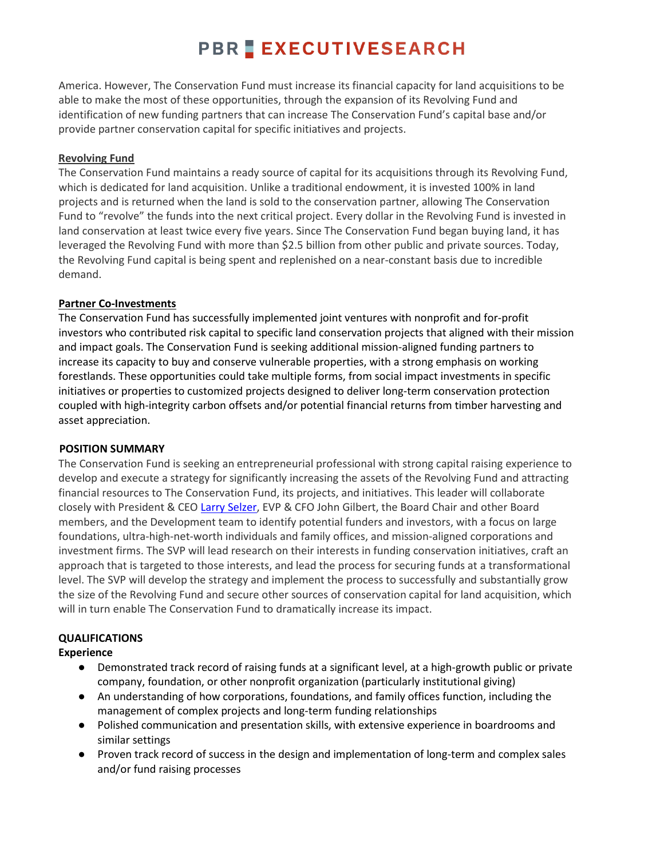## **PBR EXECUTIVESEARCH**

America. However, The Conservation Fund must increase its financial capacity for land acquisitions to be able to make the most of these opportunities, through the expansion of its Revolving Fund and identification of new funding partners that can increase The Conservation Fund's capital base and/or provide partner conservation capital for specific initiatives and projects.

### **Revolving Fund**

The Conservation Fund maintains a ready source of capital for its acquisitions through its Revolving Fund, which is dedicated for land acquisition. Unlike a traditional endowment, it is invested 100% in land projects and is returned when the land is sold to the conservation partner, allowing The Conservation Fund to "revolve" the funds into the next critical project. Every dollar in the Revolving Fund is invested in land conservation at least twice every five years. Since The Conservation Fund began buying land, it has leveraged the Revolving Fund with more than \$2.5 billion from other public and private sources. Today, the Revolving Fund capital is being spent and replenished on a near-constant basis due to incredible demand.

### **Partner Co-Investments**

The Conservation Fund has successfully implemented joint ventures with nonprofit and for-profit investors who contributed risk capital to specific land conservation projects that aligned with their mission and impact goals. The Conservation Fund is seeking additional mission-aligned funding partners to increase its capacity to buy and conserve vulnerable properties, with a strong emphasis on working forestlands. These opportunities could take multiple forms, from social impact investments in specific initiatives or properties to customized projects designed to deliver long-term conservation protection coupled with high-integrity carbon offsets and/or potential financial returns from timber harvesting and asset appreciation.

### **POSITION SUMMARY**

The Conservation Fund is seeking an entrepreneurial professional with strong capital raising experience to develop and execute a strategy for significantly increasing the assets of the Revolving Fund and attracting financial resources to The Conservation Fund, its projects, and initiatives. This leader will collaborate closely with President & CEO [Larry Selzer,](https://www.conservationfund.org/our-experts/larry-selzer) EVP & CFO John Gilbert, the Board Chair and other Board members, and the Development team to identify potential funders and investors, with a focus on large foundations, ultra-high-net-worth individuals and family offices, and mission-aligned corporations and investment firms. The SVP will lead research on their interests in funding conservation initiatives, craft an approach that is targeted to those interests, and lead the process for securing funds at a transformational level. The SVP will develop the strategy and implement the process to successfully and substantially grow the size of the Revolving Fund and secure other sources of conservation capital for land acquisition, which will in turn enable The Conservation Fund to dramatically increase its impact.

### **QUALIFICATIONS**

### **Experience**

- Demonstrated track record of raising funds at a significant level, at a high-growth public or private company, foundation, or other nonprofit organization (particularly institutional giving)
- An understanding of how corporations, foundations, and family offices function, including the management of complex projects and long-term funding relationships
- Polished communication and presentation skills, with extensive experience in boardrooms and similar settings
- Proven track record of success in the design and implementation of long-term and complex sales and/or fund raising processes